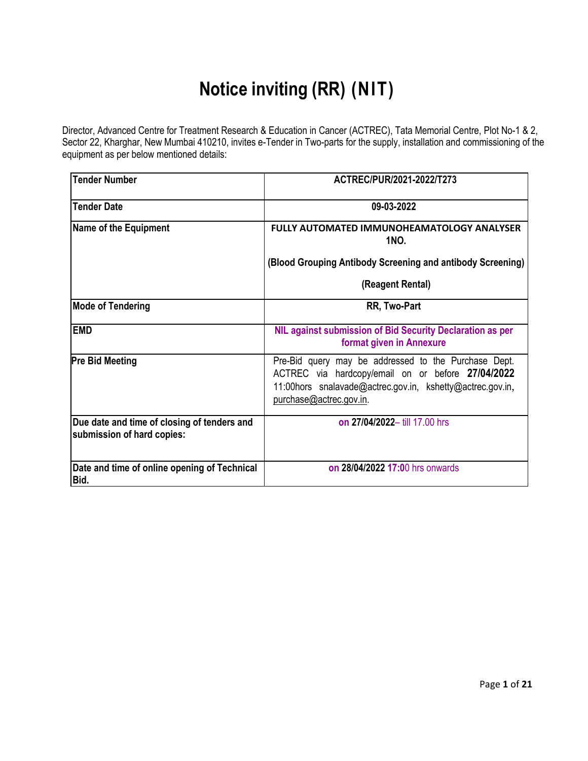# **Notice inviting (RR) (NIT)**

Director, Advanced Centre for Treatment Research & Education in Cancer (ACTREC), Tata Memorial Centre, Plot No-1 & 2, Sector 22, Kharghar, New Mumbai 410210, invites e-Tender in Two-parts for the supply, installation and commissioning of the equipment as per below mentioned details:

| <b>Tender Number</b>                                                      | ACTREC/PUR/2021-2022/T273                                                                                                                                                                         |
|---------------------------------------------------------------------------|---------------------------------------------------------------------------------------------------------------------------------------------------------------------------------------------------|
| <b>Tender Date</b>                                                        | 09-03-2022                                                                                                                                                                                        |
| <b>Name of the Equipment</b>                                              | <b>FULLY AUTOMATED IMMUNOHEAMATOLOGY ANALYSER</b><br><b>1NO.</b>                                                                                                                                  |
|                                                                           | (Blood Grouping Antibody Screening and antibody Screening)                                                                                                                                        |
|                                                                           | (Reagent Rental)                                                                                                                                                                                  |
| <b>Mode of Tendering</b>                                                  | RR, Two-Part                                                                                                                                                                                      |
| <b>EMD</b>                                                                | NIL against submission of Bid Security Declaration as per<br>format given in Annexure                                                                                                             |
| <b>Pre Bid Meeting</b>                                                    | Pre-Bid query may be addressed to the Purchase Dept.<br>ACTREC via hardcopy/email on or before 27/04/2022<br>11:00hors snalavade@actrec.gov.in, kshetty@actrec.gov.in,<br>purchase@actrec.gov.in. |
| Due date and time of closing of tenders and<br>submission of hard copies: | on 27/04/2022- till 17.00 hrs                                                                                                                                                                     |
| Date and time of online opening of Technical<br>Bid.                      | on 28/04/2022 17:00 hrs onwards                                                                                                                                                                   |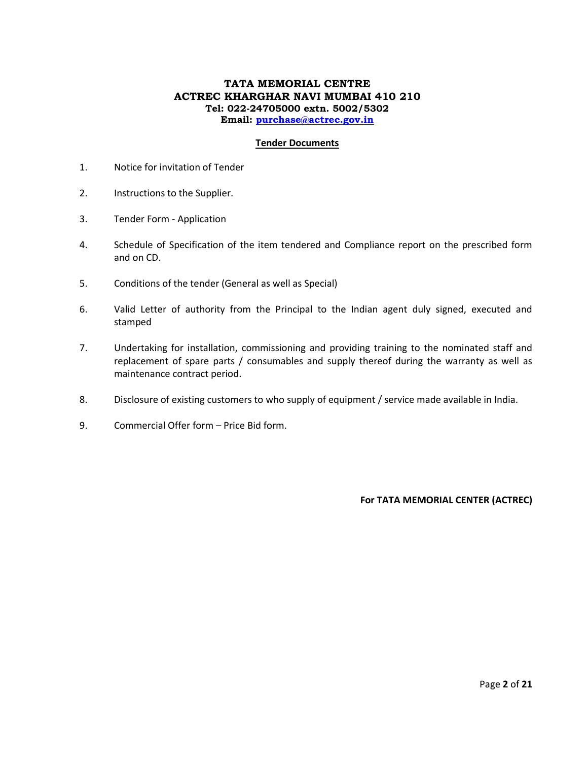## **TATA MEMORIAL CENTRE ACTREC KHARGHAR NAVI MUMBAI 410 210 Tel: 022-24705000 extn. 5002/5302 Email: [purchase@actrec.gov.in](mailto:purchase@actrec.gov.in)**

#### **Tender Documents**

- 1. Notice for invitation of Tender
- 2. Instructions to the Supplier.
- 3. Tender Form Application
- 4. Schedule of Specification of the item tendered and Compliance report on the prescribed form and on CD.
- 5. Conditions of the tender (General as well as Special)
- 6. Valid Letter of authority from the Principal to the Indian agent duly signed, executed and stamped
- 7. Undertaking for installation, commissioning and providing training to the nominated staff and replacement of spare parts / consumables and supply thereof during the warranty as well as maintenance contract period.
- 8. Disclosure of existing customers to who supply of equipment / service made available in India.
- 9. Commercial Offer form Price Bid form.

**For TATA MEMORIAL CENTER (ACTREC)**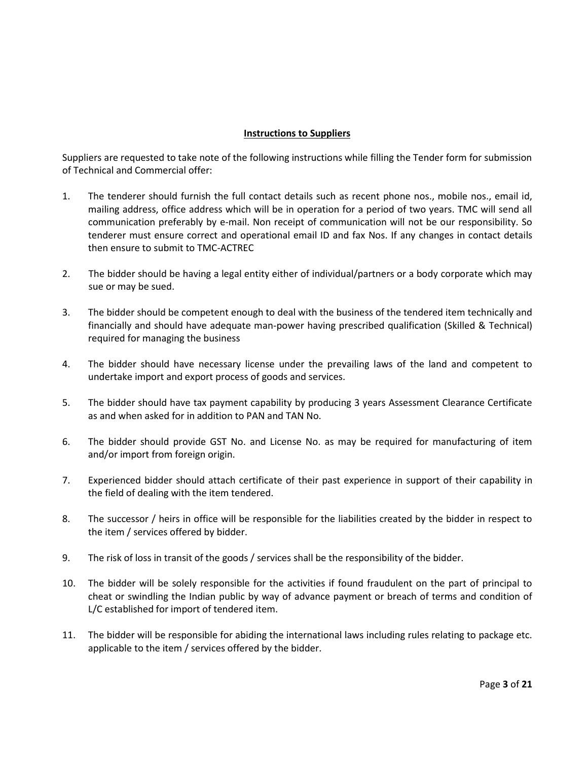# **Instructions to Suppliers**

Suppliers are requested to take note of the following instructions while filling the Tender form for submission of Technical and Commercial offer:

- 1. The tenderer should furnish the full contact details such as recent phone nos., mobile nos., email id, mailing address, office address which will be in operation for a period of two years. TMC will send all communication preferably by e-mail. Non receipt of communication will not be our responsibility. So tenderer must ensure correct and operational email ID and fax Nos. If any changes in contact details then ensure to submit to TMC-ACTREC
- 2. The bidder should be having a legal entity either of individual/partners or a body corporate which may sue or may be sued.
- 3. The bidder should be competent enough to deal with the business of the tendered item technically and financially and should have adequate man-power having prescribed qualification (Skilled & Technical) required for managing the business
- 4. The bidder should have necessary license under the prevailing laws of the land and competent to undertake import and export process of goods and services.
- 5. The bidder should have tax payment capability by producing 3 years Assessment Clearance Certificate as and when asked for in addition to PAN and TAN No.
- 6. The bidder should provide GST No. and License No. as may be required for manufacturing of item and/or import from foreign origin.
- 7. Experienced bidder should attach certificate of their past experience in support of their capability in the field of dealing with the item tendered.
- 8. The successor / heirs in office will be responsible for the liabilities created by the bidder in respect to the item / services offered by bidder.
- 9. The risk of loss in transit of the goods / services shall be the responsibility of the bidder.
- 10. The bidder will be solely responsible for the activities if found fraudulent on the part of principal to cheat or swindling the Indian public by way of advance payment or breach of terms and condition of L/C established for import of tendered item.
- 11. The bidder will be responsible for abiding the international laws including rules relating to package etc. applicable to the item / services offered by the bidder.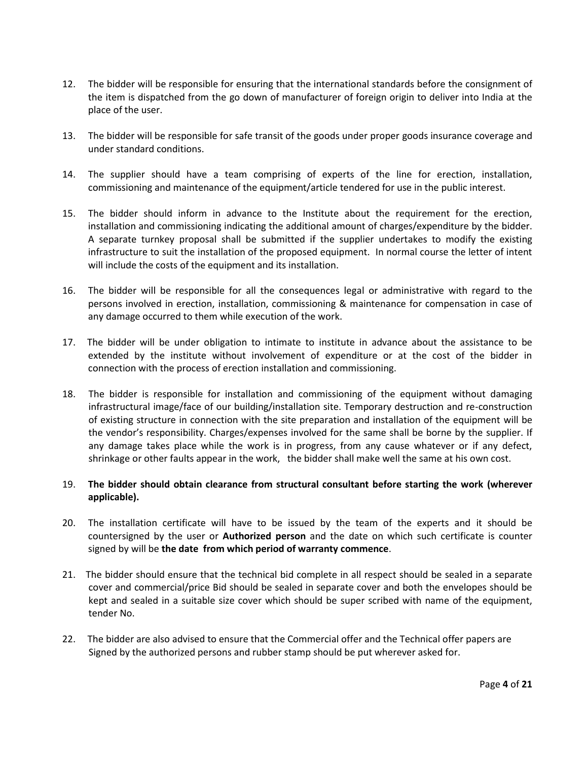- 12. The bidder will be responsible for ensuring that the international standards before the consignment of the item is dispatched from the go down of manufacturer of foreign origin to deliver into India at the place of the user.
- 13. The bidder will be responsible for safe transit of the goods under proper goods insurance coverage and under standard conditions.
- 14. The supplier should have a team comprising of experts of the line for erection, installation, commissioning and maintenance of the equipment/article tendered for use in the public interest.
- 15. The bidder should inform in advance to the Institute about the requirement for the erection, installation and commissioning indicating the additional amount of charges/expenditure by the bidder. A separate turnkey proposal shall be submitted if the supplier undertakes to modify the existing infrastructure to suit the installation of the proposed equipment. In normal course the letter of intent will include the costs of the equipment and its installation.
- 16. The bidder will be responsible for all the consequences legal or administrative with regard to the persons involved in erection, installation, commissioning & maintenance for compensation in case of any damage occurred to them while execution of the work.
- 17. The bidder will be under obligation to intimate to institute in advance about the assistance to be extended by the institute without involvement of expenditure or at the cost of the bidder in connection with the process of erection installation and commissioning.
- 18. The bidder is responsible for installation and commissioning of the equipment without damaging infrastructural image/face of our building/installation site. Temporary destruction and re-construction of existing structure in connection with the site preparation and installation of the equipment will be the vendor's responsibility. Charges/expenses involved for the same shall be borne by the supplier. If any damage takes place while the work is in progress, from any cause whatever or if any defect, shrinkage or other faults appear in the work, the bidder shall make well the same at his own cost.

# 19. **The bidder should obtain clearance from structural consultant before starting the work (wherever applicable).**

- 20. The installation certificate will have to be issued by the team of the experts and it should be countersigned by the user or **Authorized person** and the date on which such certificate is counter signed by will be **the date from which period of warranty commence**.
- 21. The bidder should ensure that the technical bid complete in all respect should be sealed in a separate cover and commercial/price Bid should be sealed in separate cover and both the envelopes should be kept and sealed in a suitable size cover which should be super scribed with name of the equipment, tender No.
- 22. The bidder are also advised to ensure that the Commercial offer and the Technical offer papers are Signed by the authorized persons and rubber stamp should be put wherever asked for.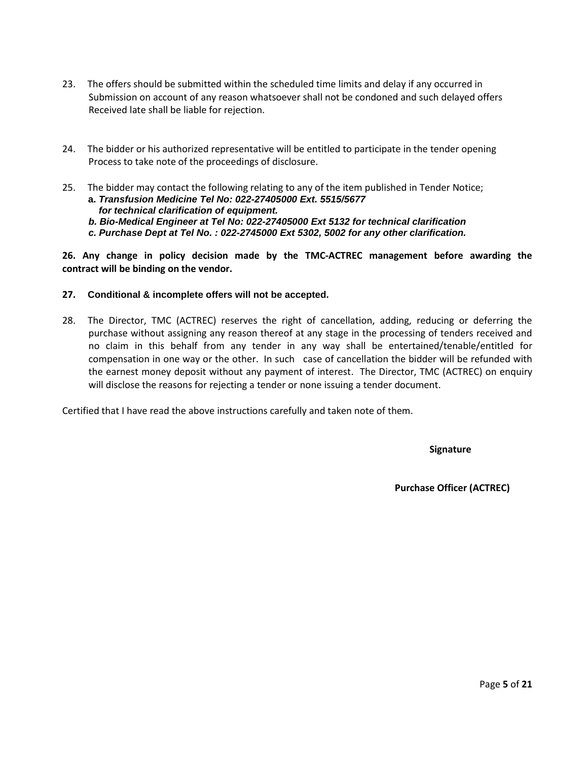- 23. The offers should be submitted within the scheduled time limits and delay if any occurred in Submission on account of any reason whatsoever shall not be condoned and such delayed offers Received late shall be liable for rejection.
- 24. The bidder or his authorized representative will be entitled to participate in the tender opening Process to take note of the proceedings of disclosure.
- 25. The bidder may contact the following relating to any of the item published in Tender Notice; **a.** *Transfusion Medicine Tel No: 022-27405000 Ext. 5515/5677* *for technical clarification of equipment.* 
	- *b. Bio-Medical Engineer at Tel No: 022-27405000 Ext 5132 for technical clarification*
	- *c. Purchase Dept at Tel No. : 022-2745000 Ext 5302, 5002 for any other clarification.*

**26. Any change in policy decision made by the TMC-ACTREC management before awarding the contract will be binding on the vendor.**

#### **27. Conditional & incomplete offers will not be accepted.**

28. The Director, TMC (ACTREC) reserves the right of cancellation, adding, reducing or deferring the purchase without assigning any reason thereof at any stage in the processing of tenders received and no claim in this behalf from any tender in any way shall be entertained/tenable/entitled for compensation in one way or the other. In such case of cancellation the bidder will be refunded with the earnest money deposit without any payment of interest. The Director, TMC (ACTREC) on enquiry will disclose the reasons for rejecting a tender or none issuing a tender document.

Certified that I have read the above instructions carefully and taken note of them.

 **Signature**

 **Purchase Officer (ACTREC)**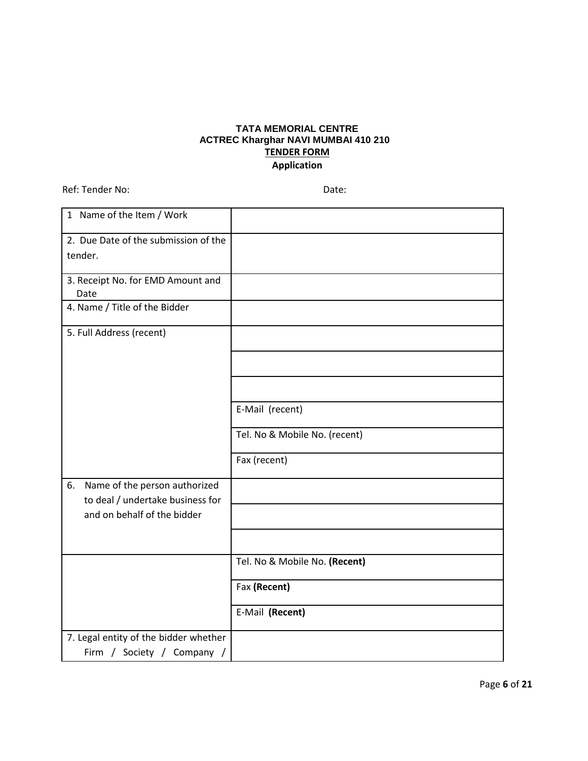# **TATA MEMORIAL CENTRE ACTREC Kharghar NAVI MUMBAI 410 210 TENDER FORM Application**

Ref: Tender No: Date:

| 1 Name of the Item / Work                                               |                               |
|-------------------------------------------------------------------------|-------------------------------|
| 2. Due Date of the submission of the                                    |                               |
| tender.                                                                 |                               |
|                                                                         |                               |
| 3. Receipt No. for EMD Amount and<br>Date                               |                               |
| 4. Name / Title of the Bidder                                           |                               |
|                                                                         |                               |
| 5. Full Address (recent)                                                |                               |
|                                                                         |                               |
|                                                                         |                               |
|                                                                         |                               |
|                                                                         |                               |
|                                                                         | E-Mail (recent)               |
|                                                                         | Tel. No & Mobile No. (recent) |
|                                                                         | Fax (recent)                  |
|                                                                         |                               |
| Name of the person authorized<br>6.<br>to deal / undertake business for |                               |
| and on behalf of the bidder                                             |                               |
|                                                                         |                               |
|                                                                         |                               |
|                                                                         | Tel. No & Mobile No. (Recent) |
|                                                                         |                               |
|                                                                         | Fax (Recent)                  |
|                                                                         | E-Mail (Recent)               |
| 7. Legal entity of the bidder whether                                   |                               |
| Firm / Society / Company /                                              |                               |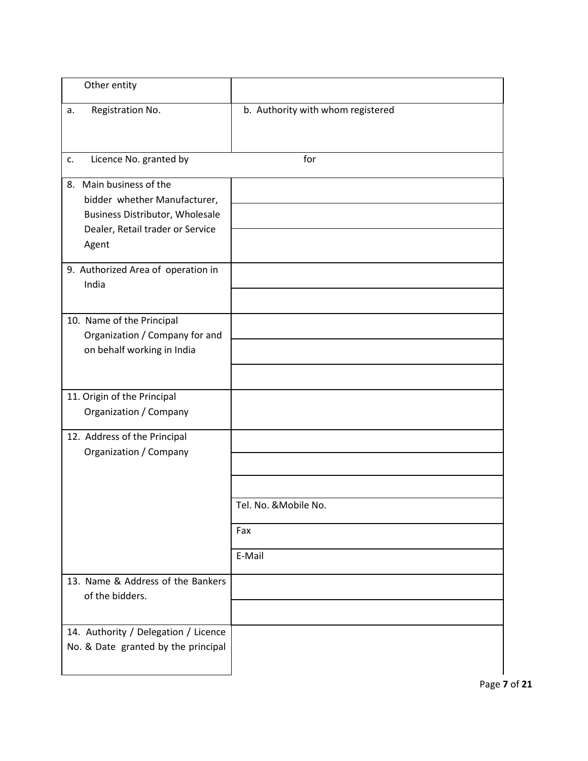| Other entity                                                                                                                                      |                                        |
|---------------------------------------------------------------------------------------------------------------------------------------------------|----------------------------------------|
| Registration No.<br>a.                                                                                                                            | b. Authority with whom registered      |
| Licence No. granted by<br>c.                                                                                                                      | for                                    |
| Main business of the<br>8.<br>bidder whether Manufacturer,<br><b>Business Distributor, Wholesale</b><br>Dealer, Retail trader or Service<br>Agent |                                        |
| 9. Authorized Area of operation in<br>India                                                                                                       |                                        |
| 10. Name of the Principal<br>Organization / Company for and<br>on behalf working in India                                                         |                                        |
| 11. Origin of the Principal<br>Organization / Company                                                                                             |                                        |
| 12. Address of the Principal<br>Organization / Company                                                                                            |                                        |
|                                                                                                                                                   | Tel. No. & Mobile No.<br>Fax<br>E-Mail |
| 13. Name & Address of the Bankers<br>of the bidders.                                                                                              |                                        |
| 14. Authority / Delegation / Licence<br>No. & Date granted by the principal                                                                       |                                        |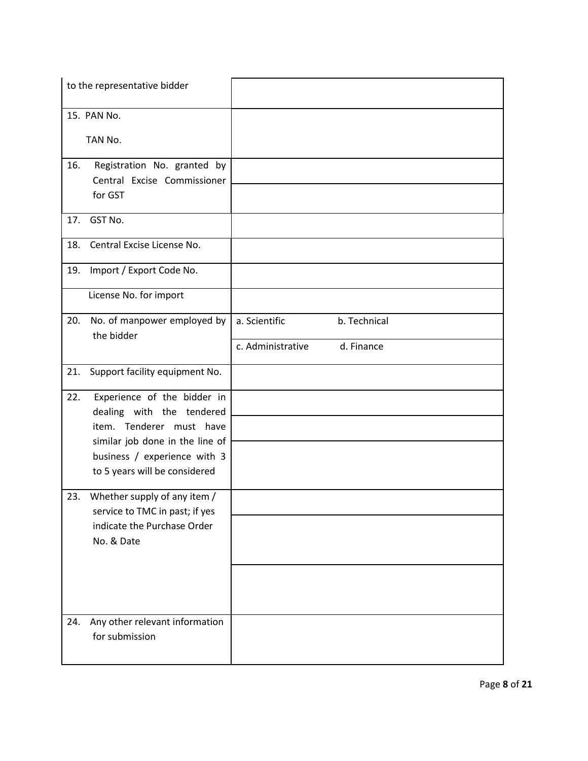| to the representative bidder                                                                                                                                                                    |                                 |
|-------------------------------------------------------------------------------------------------------------------------------------------------------------------------------------------------|---------------------------------|
| 15. PAN No.<br>TAN No.                                                                                                                                                                          |                                 |
| 16.<br>Registration No. granted by<br>Central Excise Commissioner<br>for GST                                                                                                                    |                                 |
| GST No.<br>17.                                                                                                                                                                                  |                                 |
| Central Excise License No.<br>18.                                                                                                                                                               |                                 |
| Import / Export Code No.<br>19.                                                                                                                                                                 |                                 |
| License No. for import                                                                                                                                                                          |                                 |
| No. of manpower employed by<br>20.<br>the bidder                                                                                                                                                | a. Scientific<br>b. Technical   |
|                                                                                                                                                                                                 | c. Administrative<br>d. Finance |
| 21.<br>Support facility equipment No.                                                                                                                                                           |                                 |
| Experience of the bidder in<br>22.<br>dealing with the tendered<br>item. Tenderer must have<br>similar job done in the line of<br>business / experience with 3<br>to 5 years will be considered |                                 |
| 23.<br>Whether supply of any item /<br>service to TMC in past; if yes<br>indicate the Purchase Order<br>No. & Date                                                                              |                                 |
| Any other relevant information<br>24.<br>for submission                                                                                                                                         |                                 |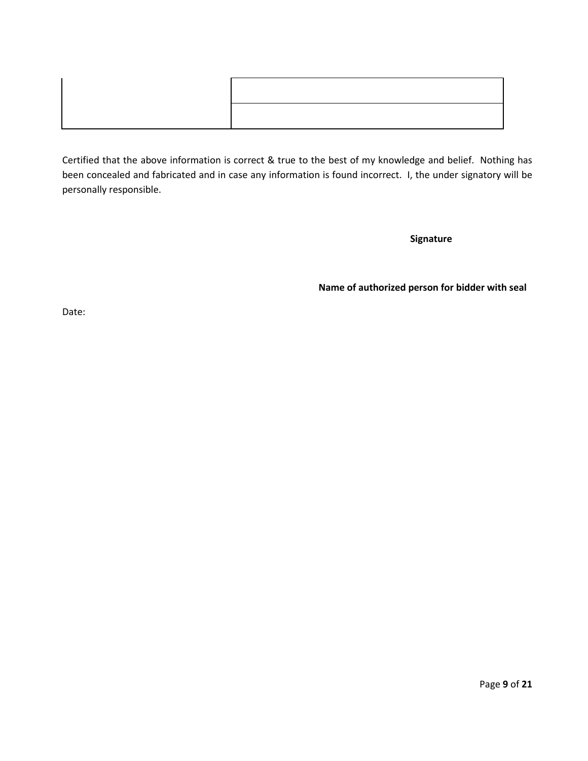Certified that the above information is correct & true to the best of my knowledge and belief. Nothing has been concealed and fabricated and in case any information is found incorrect. I, the under signatory will be personally responsible.

**Signature**

**Name of authorized person for bidder with seal**

Date: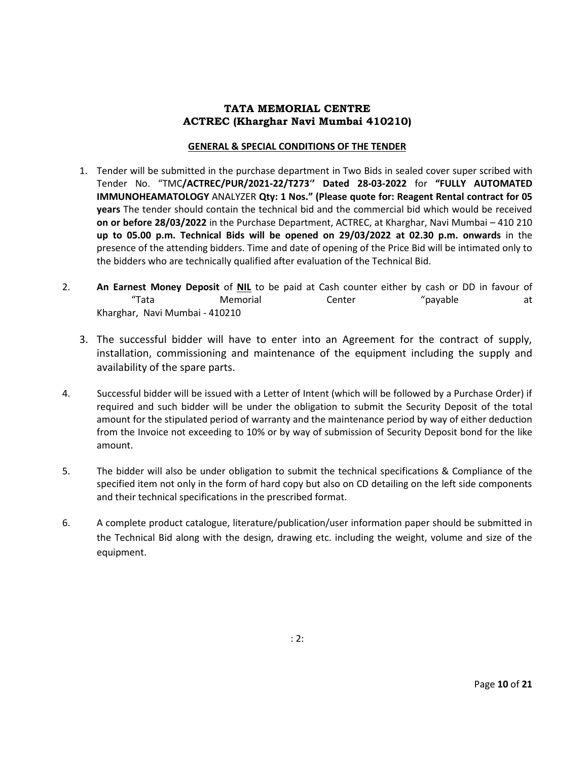# **TATA MEMORIAL CENTRE ACTREC (Kharghar Navi Mumbai 410210)**

#### **GENERAL & SPECIAL CONDITIONS OF THE TENDER**

- 1. Tender will be submitted in the purchase department in Two Bids in sealed cover super scribed with Tender No. "TMC**/ACTREC/PUR/2021-22/T273**'**' Dated 28-03-2022** for **"FULLY AUTOMATED IMMUNOHEAMATOLOGY** ANALYZER **Qty: 1 Nos." (Please quote for: Reagent Rental contract for 05 years** The tender should contain the technical bid and the commercial bid which would be received **on or before 28/03/2022** in the Purchase Department, ACTREC, at Kharghar, Navi Mumbai – 410 210 **up to 05.00 p.m. Technical Bids will be opened on 29/03/2022 at 02.30 p.m. onwards** in the presence of the attending bidders. Time and date of opening of the Price Bid will be intimated only to the bidders who are technically qualified after evaluation of the Technical Bid.
- 2. **An Earnest Money Deposit** of **NIL** to be paid at Cash counter either by cash or DD in favour of "Tata Memorial Center "payable at Kharghar, Navi Mumbai - 410210
	- 3. The successful bidder will have to enter into an Agreement for the contract of supply, installation, commissioning and maintenance of the equipment including the supply and availability of the spare parts.
- 4. Successful bidder will be issued with a Letter of Intent (which will be followed by a Purchase Order) if required and such bidder will be under the obligation to submit the Security Deposit of the total amount for the stipulated period of warranty and the maintenance period by way of either deduction from the Invoice not exceeding to 10% or by way of submission of Security Deposit bond for the like amount.
- 5. The bidder will also be under obligation to submit the technical specifications & Compliance of the specified item not only in the form of hard copy but also on CD detailing on the left side components and their technical specifications in the prescribed format.
- 6. A complete product catalogue, literature/publication/user information paper should be submitted in the Technical Bid along with the design, drawing etc. including the weight, volume and size of the equipment.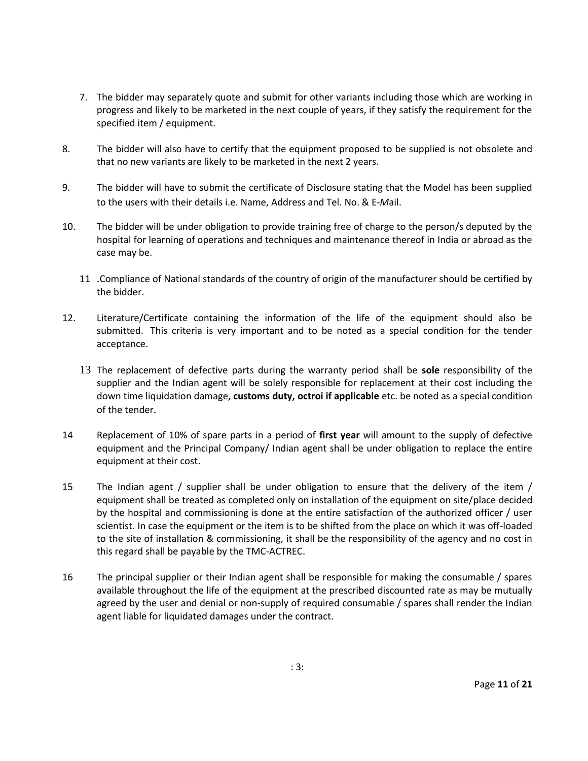- 7. The bidder may separately quote and submit for other variants including those which are working in progress and likely to be marketed in the next couple of years, if they satisfy the requirement for the specified item / equipment.
- 8. The bidder will also have to certify that the equipment proposed to be supplied is not obsolete and that no new variants are likely to be marketed in the next 2 years.
- 9. The bidder will have to submit the certificate of Disclosure stating that the Model has been supplied to the users with their details i.e. Name, Address and Tel. No. & E-*M*ail.
- 10. The bidder will be under obligation to provide training free of charge to the person/s deputed by the hospital for learning of operations and techniques and maintenance thereof in India or abroad as the case may be.
	- 11 .Compliance of National standards of the country of origin of the manufacturer should be certified by the bidder.
- 12. Literature/Certificate containing the information of the life of the equipment should also be submitted. This criteria is very important and to be noted as a special condition for the tender acceptance.
	- 13 The replacement of defective parts during the warranty period shall be **sole** responsibility of the supplier and the Indian agent will be solely responsible for replacement at their cost including the down time liquidation damage, **customs duty, octroi if applicable** etc. be noted as a special condition of the tender.
- 14 Replacement of 10% of spare parts in a period of **first year** will amount to the supply of defective equipment and the Principal Company/ Indian agent shall be under obligation to replace the entire equipment at their cost.
- 15 The Indian agent / supplier shall be under obligation to ensure that the delivery of the item / equipment shall be treated as completed only on installation of the equipment on site/place decided by the hospital and commissioning is done at the entire satisfaction of the authorized officer / user scientist. In case the equipment or the item is to be shifted from the place on which it was off-loaded to the site of installation & commissioning, it shall be the responsibility of the agency and no cost in this regard shall be payable by the TMC-ACTREC.
- 16 The principal supplier or their Indian agent shall be responsible for making the consumable / spares available throughout the life of the equipment at the prescribed discounted rate as may be mutually agreed by the user and denial or non-supply of required consumable / spares shall render the Indian agent liable for liquidated damages under the contract.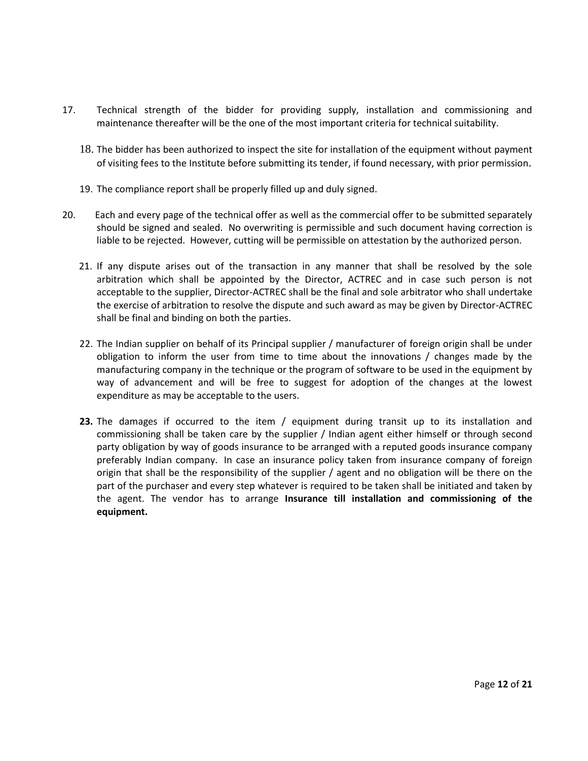- 17. Technical strength of the bidder for providing supply, installation and commissioning and maintenance thereafter will be the one of the most important criteria for technical suitability.
	- 18. The bidder has been authorized to inspect the site for installation of the equipment without payment of visiting fees to the Institute before submitting its tender, if found necessary, with prior permission.
	- 19. The compliance report shall be properly filled up and duly signed.
- 20. Each and every page of the technical offer as well as the commercial offer to be submitted separately should be signed and sealed. No overwriting is permissible and such document having correction is liable to be rejected. However, cutting will be permissible on attestation by the authorized person.
	- 21. If any dispute arises out of the transaction in any manner that shall be resolved by the sole arbitration which shall be appointed by the Director, ACTREC and in case such person is not acceptable to the supplier, Director-ACTREC shall be the final and sole arbitrator who shall undertake the exercise of arbitration to resolve the dispute and such award as may be given by Director-ACTREC shall be final and binding on both the parties.
	- 22. The Indian supplier on behalf of its Principal supplier / manufacturer of foreign origin shall be under obligation to inform the user from time to time about the innovations / changes made by the manufacturing company in the technique or the program of software to be used in the equipment by way of advancement and will be free to suggest for adoption of the changes at the lowest expenditure as may be acceptable to the users.
	- **23.** The damages if occurred to the item / equipment during transit up to its installation and commissioning shall be taken care by the supplier / Indian agent either himself or through second party obligation by way of goods insurance to be arranged with a reputed goods insurance company preferably Indian company. In case an insurance policy taken from insurance company of foreign origin that shall be the responsibility of the supplier / agent and no obligation will be there on the part of the purchaser and every step whatever is required to be taken shall be initiated and taken by the agent. The vendor has to arrange **Insurance till installation and commissioning of the equipment.**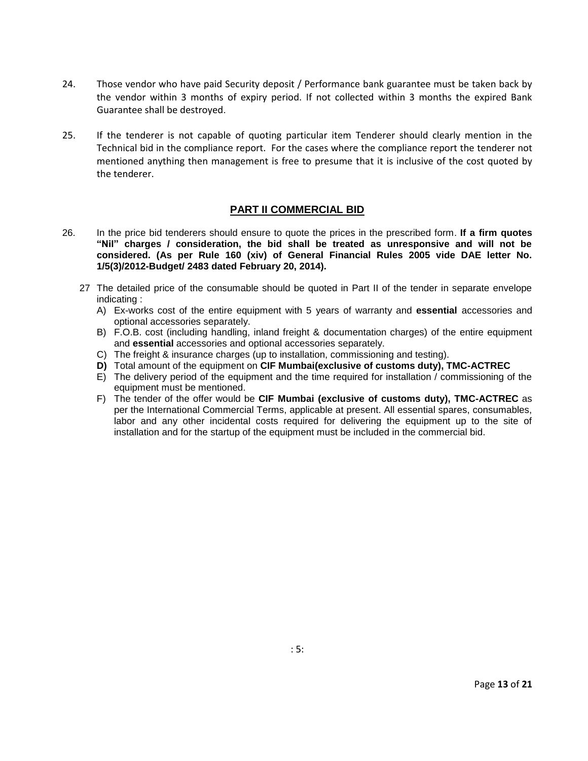- 24. Those vendor who have paid Security deposit / Performance bank guarantee must be taken back by the vendor within 3 months of expiry period. If not collected within 3 months the expired Bank Guarantee shall be destroyed.
- 25. If the tenderer is not capable of quoting particular item Tenderer should clearly mention in the Technical bid in the compliance report. For the cases where the compliance report the tenderer not mentioned anything then management is free to presume that it is inclusive of the cost quoted by the tenderer.

# **PART II COMMERCIAL BID**

- 26. In the price bid tenderers should ensure to quote the prices in the prescribed form. **If a firm quotes "Nil" charges / consideration, the bid shall be treated as unresponsive and will not be considered. (As per Rule 160 (xiv) of General Financial Rules 2005 vide DAE letter No. 1/5(3)/2012-Budget/ 2483 dated February 20, 2014).**
	- 27 The detailed price of the consumable should be quoted in Part II of the tender in separate envelope indicating :
		- A) Ex-works cost of the entire equipment with 5 years of warranty and **essential** accessories and optional accessories separately.
		- B) F.O.B. cost (including handling, inland freight & documentation charges) of the entire equipment and **essential** accessories and optional accessories separately.
		- C) The freight & insurance charges (up to installation, commissioning and testing).
		- **D)** Total amount of the equipment on **CIF Mumbai(exclusive of customs duty), TMC-ACTREC**
		- E) The delivery period of the equipment and the time required for installation / commissioning of the equipment must be mentioned.
		- F) The tender of the offer would be **CIF Mumbai (exclusive of customs duty), TMC-ACTREC** as per the International Commercial Terms, applicable at present. All essential spares, consumables, labor and any other incidental costs required for delivering the equipment up to the site of installation and for the startup of the equipment must be included in the commercial bid.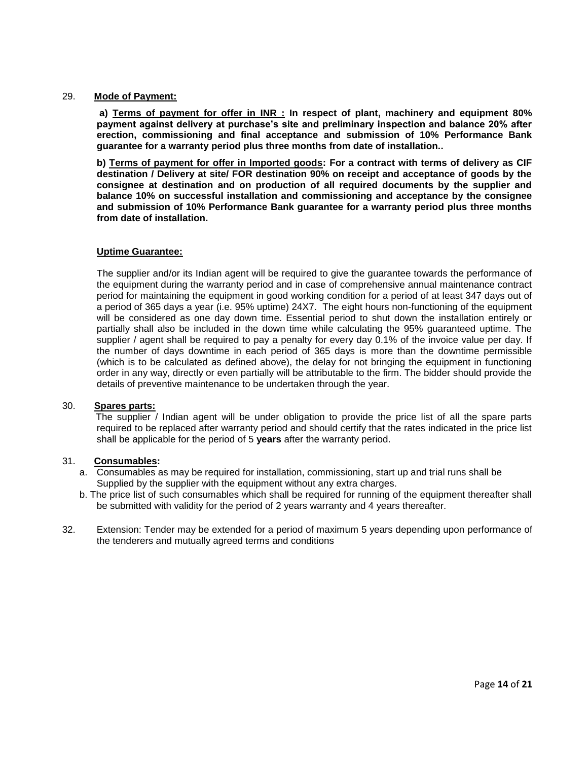#### 29. **Mode of Payment:**

**a) Terms of payment for offer in INR : In respect of plant, machinery and equipment 80% payment against delivery at purchase's site and preliminary inspection and balance 20% after erection, commissioning and final acceptance and submission of 10% Performance Bank guarantee for a warranty period plus three months from date of installation..** 

**b) Terms of payment for offer in Imported goods: For a contract with terms of delivery as CIF destination / Delivery at site/ FOR destination 90% on receipt and acceptance of goods by the consignee at destination and on production of all required documents by the supplier and balance 10% on successful installation and commissioning and acceptance by the consignee and submission of 10% Performance Bank guarantee for a warranty period plus three months from date of installation.** 

#### **Uptime Guarantee:**

The supplier and/or its Indian agent will be required to give the guarantee towards the performance of the equipment during the warranty period and in case of comprehensive annual maintenance contract period for maintaining the equipment in good working condition for a period of at least 347 days out of a period of 365 days a year (i.e. 95% uptime) 24X7. The eight hours non-functioning of the equipment will be considered as one day down time. Essential period to shut down the installation entirely or partially shall also be included in the down time while calculating the 95% guaranteed uptime. The supplier / agent shall be required to pay a penalty for every day 0.1% of the invoice value per day. If the number of days downtime in each period of 365 days is more than the downtime permissible (which is to be calculated as defined above), the delay for not bringing the equipment in functioning order in any way, directly or even partially will be attributable to the firm. The bidder should provide the details of preventive maintenance to be undertaken through the year.

#### 30. **Spares parts:**

The supplier / Indian agent will be under obligation to provide the price list of all the spare parts required to be replaced after warranty period and should certify that the rates indicated in the price list shall be applicable for the period of 5 **years** after the warranty period.

#### 31. **Consumables:**

- a. Consumables as may be required for installation, commissioning, start up and trial runs shall be Supplied by the supplier with the equipment without any extra charges.
- b. The price list of such consumables which shall be required for running of the equipment thereafter shall be submitted with validity for the period of 2 years warranty and 4 years thereafter.
- 32. Extension: Tender may be extended for a period of maximum 5 years depending upon performance of the tenderers and mutually agreed terms and conditions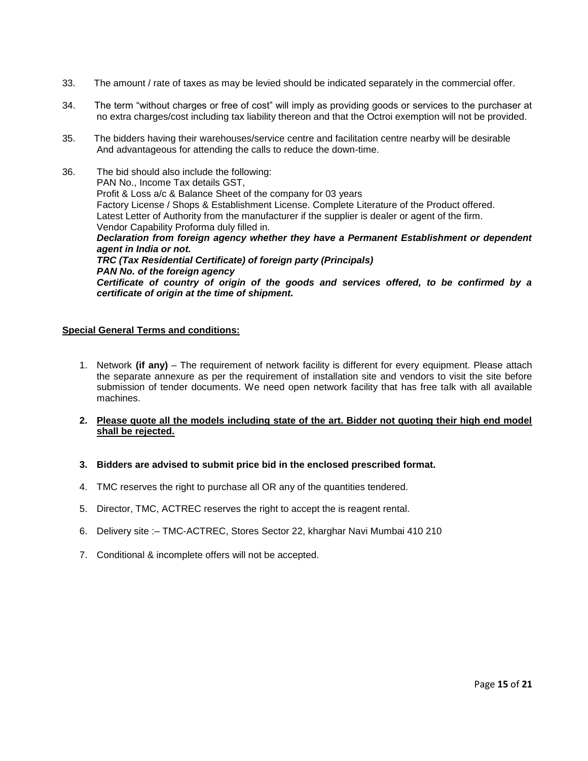- 33. The amount / rate of taxes as may be levied should be indicated separately in the commercial offer.
- 34. The term "without charges or free of cost" will imply as providing goods or services to the purchaser at no extra charges/cost including tax liability thereon and that the Octroi exemption will not be provided.
- 35. The bidders having their warehouses/service centre and facilitation centre nearby will be desirable And advantageous for attending the calls to reduce the down-time.
- 36. The bid should also include the following: PAN No., Income Tax details GST, Profit & Loss a/c & Balance Sheet of the company for 03 years Factory License / Shops & Establishment License. Complete Literature of the Product offered. Latest Letter of Authority from the manufacturer if the supplier is dealer or agent of the firm. Vendor Capability Proforma duly filled in. *Declaration from foreign agency whether they have a Permanent Establishment or dependent agent in India or not. TRC (Tax Residential Certificate) of foreign party (Principals) PAN No. of the foreign agency Certificate of country of origin of the goods and services offered, to be confirmed by a certificate of origin at the time of shipment.*

#### **Special General Terms and conditions:**

- 1. Network **(if any)** The requirement of network facility is different for every equipment. Please attach the separate annexure as per the requirement of installation site and vendors to visit the site before submission of tender documents. We need open network facility that has free talk with all available machines.
- **2. Please quote all the models including state of the art. Bidder not quoting their high end model shall be rejected.**
- **3. Bidders are advised to submit price bid in the enclosed prescribed format.**
- 4. TMC reserves the right to purchase all OR any of the quantities tendered.
- 5. Director, TMC, ACTREC reserves the right to accept the is reagent rental.
- 6. Delivery site :– TMC-ACTREC, Stores Sector 22, kharghar Navi Mumbai 410 210
- 7. Conditional & incomplete offers will not be accepted.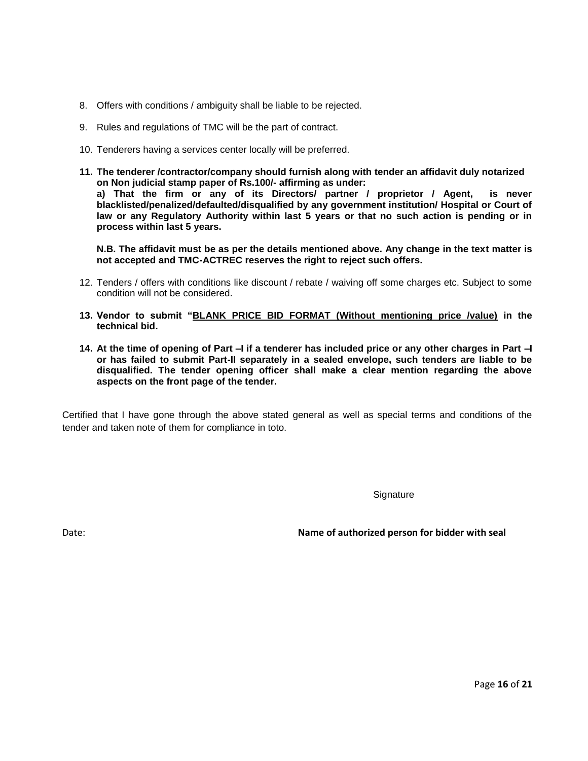- 8. Offers with conditions / ambiguity shall be liable to be rejected.
- 9. Rules and regulations of TMC will be the part of contract.
- 10. Tenderers having a services center locally will be preferred.
- **11. The tenderer /contractor/company should furnish along with tender an affidavit duly notarized on Non judicial stamp paper of Rs.100/- affirming as under: a) That the firm or any of its Directors/ partner / proprietor / Agent, is never blacklisted/penalized/defaulted/disqualified by any government institution/ Hospital or Court of law or any Regulatory Authority within last 5 years or that no such action is pending or in process within last 5 years.**

**N.B. The affidavit must be as per the details mentioned above. Any change in the text matter is not accepted and TMC-ACTREC reserves the right to reject such offers.**

- 12. Tenders / offers with conditions like discount / rebate / waiving off some charges etc. Subject to some condition will not be considered.
- **13. Vendor to submit "BLANK PRICE BID FORMAT (Without mentioning price /value) in the technical bid.**
- **14. At the time of opening of Part –I if a tenderer has included price or any other charges in Part –I or has failed to submit Part-II separately in a sealed envelope, such tenders are liable to be disqualified. The tender opening officer shall make a clear mention regarding the above aspects on the front page of the tender.**

Certified that I have gone through the above stated general as well as special terms and conditions of the tender and taken note of them for compliance in toto.

**Signature** 

Date: **Name of authorized person for bidder with seal**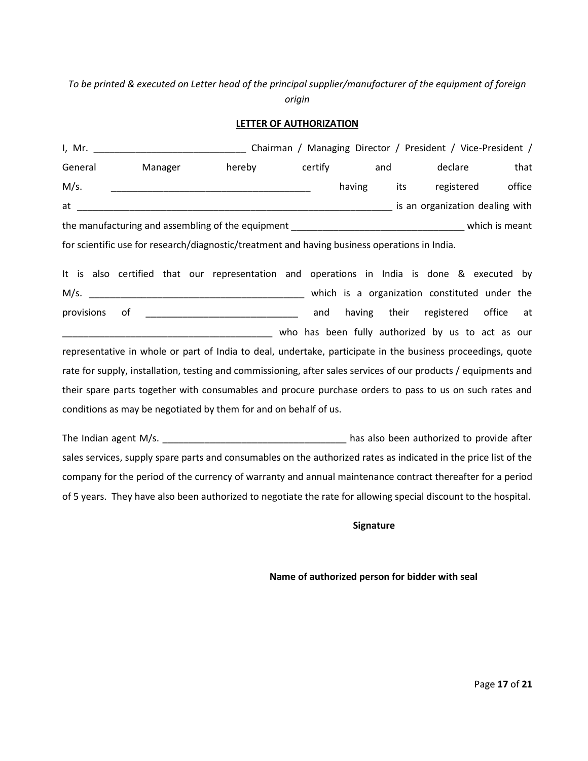# *To be printed & executed on Letter head of the principal supplier/manufacturer of the equipment of foreign origin*

#### **LETTER OF AUTHORIZATION**

| I, Mr.  |                                                   |                                                                                               |         |        |     |     | Chairman / Managing Director / President / Vice-President / |        |
|---------|---------------------------------------------------|-----------------------------------------------------------------------------------------------|---------|--------|-----|-----|-------------------------------------------------------------|--------|
| General | Manager                                           | hereby                                                                                        | certify |        | and |     | declare                                                     | that   |
| M/s.    |                                                   |                                                                                               |         | having |     | its | registered                                                  | office |
| at      |                                                   |                                                                                               |         |        |     |     | is an organization dealing with                             |        |
|         | the manufacturing and assembling of the equipment |                                                                                               |         |        |     |     | which is meant                                              |        |
|         |                                                   | for scientific use for research/diagnostic/treatment and having business operations in India. |         |        |     |     |                                                             |        |

It is also certified that our representation and operations in India is done & executed by M/s. \_\_\_\_\_\_\_\_\_\_\_\_\_\_\_\_\_\_\_\_\_\_\_\_\_\_\_\_\_\_\_\_\_\_\_\_\_\_\_\_\_ which is a organization constituted under the provisions of \_\_\_\_\_\_\_\_\_\_\_\_\_\_\_\_\_\_\_\_\_\_\_\_\_\_\_\_\_ and having their registered office at who has been fully authorized by us to act as our representative in whole or part of India to deal, undertake, participate in the business proceedings, quote rate for supply, installation, testing and commissioning, after sales services of our products / equipments and their spare parts together with consumables and procure purchase orders to pass to us on such rates and conditions as may be negotiated by them for and on behalf of us.

The Indian agent M/s. \_\_\_\_\_\_\_\_\_\_\_\_\_\_\_\_\_\_\_\_\_\_\_\_\_\_\_\_\_\_\_\_\_\_\_ has also been authorized to provide after sales services, supply spare parts and consumables on the authorized rates as indicated in the price list of the company for the period of the currency of warranty and annual maintenance contract thereafter for a period of 5 years. They have also been authorized to negotiate the rate for allowing special discount to the hospital.

 **Signature**

**Name of authorized person for bidder with seal**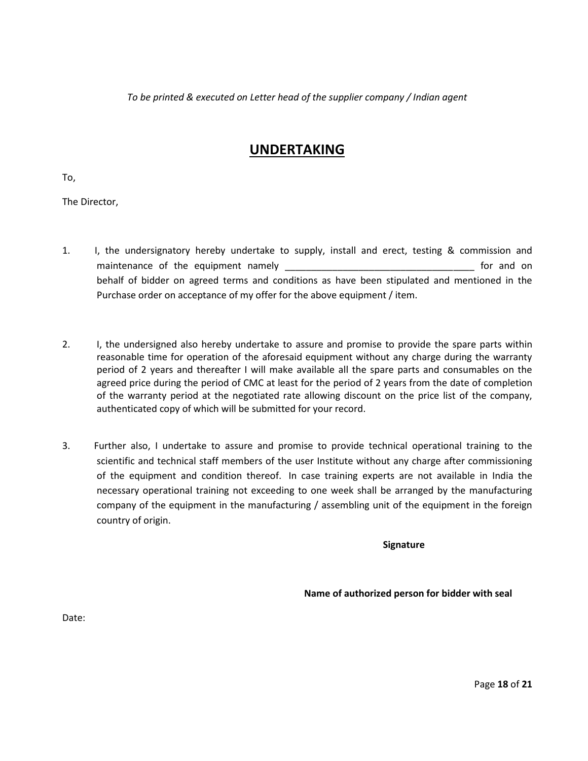*To be printed & executed on Letter head of the supplier company / Indian agent*

# **UNDERTAKING**

To,

The Director,

- 1. I, the undersignatory hereby undertake to supply, install and erect, testing & commission and maintenance of the equipment namely example the state of the equipment namely behalf of bidder on agreed terms and conditions as have been stipulated and mentioned in the Purchase order on acceptance of my offer for the above equipment / item.
- 2. I, the undersigned also hereby undertake to assure and promise to provide the spare parts within reasonable time for operation of the aforesaid equipment without any charge during the warranty period of 2 years and thereafter I will make available all the spare parts and consumables on the agreed price during the period of CMC at least for the period of 2 years from the date of completion of the warranty period at the negotiated rate allowing discount on the price list of the company, authenticated copy of which will be submitted for your record.
- 3. Further also, I undertake to assure and promise to provide technical operational training to the scientific and technical staff members of the user Institute without any charge after commissioning of the equipment and condition thereof. In case training experts are not available in India the necessary operational training not exceeding to one week shall be arranged by the manufacturing company of the equipment in the manufacturing / assembling unit of the equipment in the foreign country of origin.

 **Signature**

**Name of authorized person for bidder with seal**

Date: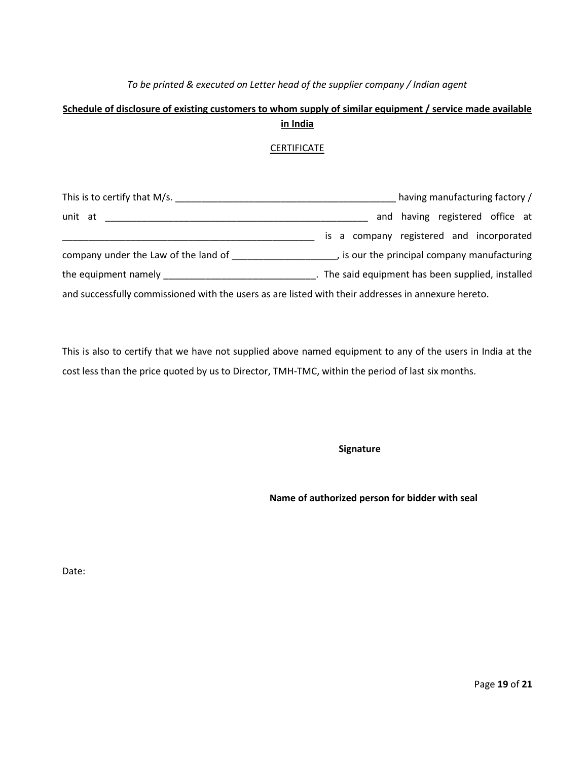# *To be printed & executed on Letter head of the supplier company / Indian agent*

# **Schedule of disclosure of existing customers to whom supply of similar equipment / service made available in India**

# CERTIFICATE

| This is to certify that M/s.                                                                        | having manufacturing factory /                  |  |  |  |  |  |  |
|-----------------------------------------------------------------------------------------------------|-------------------------------------------------|--|--|--|--|--|--|
| unit at                                                                                             | and having registered office at                 |  |  |  |  |  |  |
|                                                                                                     | is a company registered and incorporated        |  |  |  |  |  |  |
| company under the Law of the land of                                                                | , is our the principal company manufacturing    |  |  |  |  |  |  |
| the equipment namely _________                                                                      | The said equipment has been supplied, installed |  |  |  |  |  |  |
| and successfully commissioned with the users as are listed with their addresses in annexure hereto. |                                                 |  |  |  |  |  |  |

This is also to certify that we have not supplied above named equipment to any of the users in India at the cost less than the price quoted by us to Director, TMH-TMC, within the period of last six months.

**Signature**

**Name of authorized person for bidder with seal**

Date: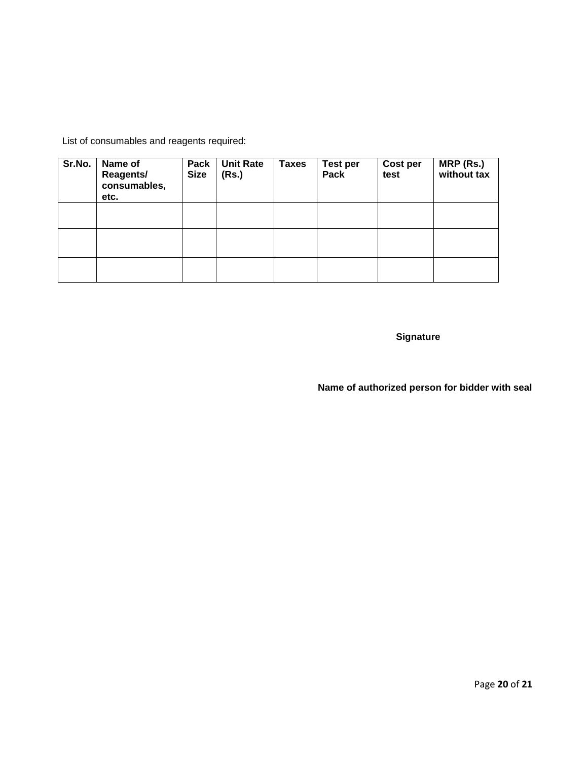List of consumables and reagents required:

| Sr.No. | Name of<br><b>Reagents/</b><br>consumables,<br>etc. | Pack<br><b>Size</b> | <b>Unit Rate</b><br>(Rs.) | <b>Taxes</b> | <b>Test per</b><br>Pack | Cost per<br>test | MRP (Rs.)<br>without tax |
|--------|-----------------------------------------------------|---------------------|---------------------------|--------------|-------------------------|------------------|--------------------------|
|        |                                                     |                     |                           |              |                         |                  |                          |
|        |                                                     |                     |                           |              |                         |                  |                          |
|        |                                                     |                     |                           |              |                         |                  |                          |

**Signature**

**Name of authorized person for bidder with seal**